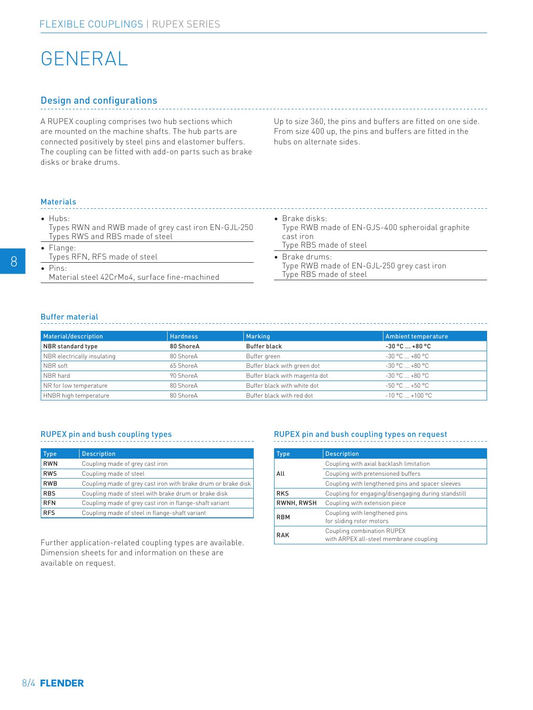# GENERAL

## Design and configurations

A RUPEX coupling comprises two hub sections which are mounted on the machine shafts. The hub parts are connected positively by steel pins and elastomer buffers. The coupling can be fitted with add-on parts such as brake disks or brake drums.

Up to size 360, the pins and buffers are fitted on one side. From size 400 up, the pins and buffers are fitted in the hubs on alternate sides.

### Materials

• Hubs:

Types RWN and RWB made of grey cast iron EN-GJL-250 Types RWS and RBS made of steel

- Flange: Types RFN, RFS made of steel
- Pins:
	- Material steel 42CrMo4, surface fine-machined

#### • Brake disks:

Type RWB made of EN-GJS-400 spheroidal graphite cast iron Type RBS made of steel

• Brake drums: Type RWB made of EN-GJL-250 grey cast iron Type RBS made of steel

## Buffer material

| Material/description        | <b>Hardness</b> | Marking                       | Ambient temperature    |
|-----------------------------|-----------------|-------------------------------|------------------------|
| NBR standard type           | 80 ShoreA       | <b>Buffer black</b>           | $-30$ °C $$ +80 °C     |
| NBR electrically insulating | 80 ShoreA       | Buffer green                  | $-30 °C  +80 °C$       |
| NBR soft                    | 65 ShoreA       | Buffer black with green dot   | $-30 °C  +80 °C$       |
| NBR hard                    | 90 ShoreA       | Buffer black with magenta dot | $-30 °C  +80 °C$       |
| NR for low temperature      | 80 ShoreA       | Buffer black with white dot   | $-50$ °C $$ +50 °C $-$ |
| HNBR high temperature       | 80 ShoreA       | Buffer black with red dot     | $-10 °C  + 100 °C$     |

## RUPEX pin and bush coupling types

| <b>Type</b> | <b>Description</b>                                            |
|-------------|---------------------------------------------------------------|
| <b>RWN</b>  | Coupling made of grey cast iron                               |
| <b>RWS</b>  | Coupling made of steel                                        |
| <b>RWB</b>  | Coupling made of grey cast iron with brake drum or brake disk |
| <b>RBS</b>  | Coupling made of steel with brake drum or brake disk          |
| <b>RFN</b>  | Coupling made of grey cast iron in flange-shaft variant       |
| <b>RFS</b>  | Coupling made of steel in flange-shaft variant                |

Further application-related coupling types are available. Dimension sheets for and information on these are available on request.

## RUPEX pin and bush coupling types on request

| <b>Type</b> | <b>Description</b>                                                   |  |  |
|-------------|----------------------------------------------------------------------|--|--|
| All         | Coupling with axial backlash limitation                              |  |  |
|             | Coupling with pretensioned buffers                                   |  |  |
|             | Coupling with lengthened pins and spacer sleeves                     |  |  |
| <b>RKS</b>  | Coupling for engaging/disengaging during standstill                  |  |  |
| RWNH, RWSH  | Coupling with extension piece                                        |  |  |
| <b>RBM</b>  | Coupling with lengthened pins<br>for sliding rotor motors            |  |  |
| <b>RAK</b>  | Coupling combination RUPEX<br>with ARPEX all-steel membrane coupling |  |  |